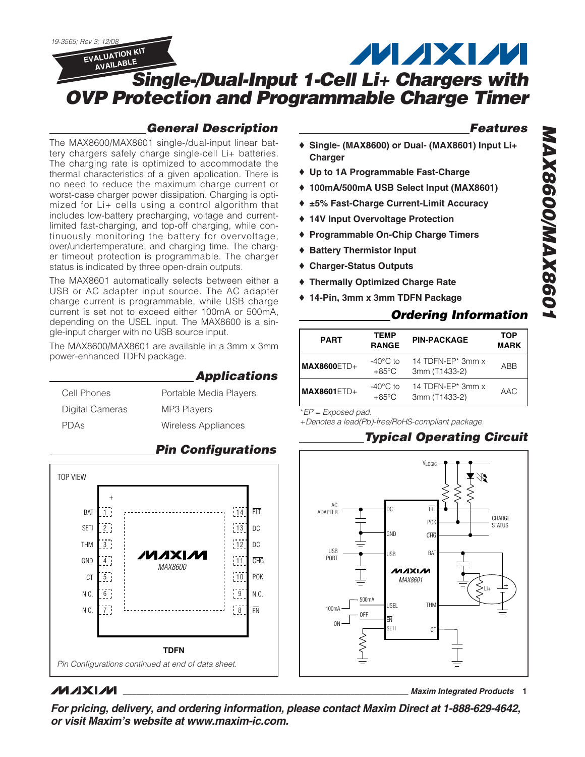

## *General Description*

The MAX8600/MAX8601 single-/dual-input linear battery chargers safely charge single-cell Li+ batteries. The charging rate is optimized to accommodate the thermal characteristics of a given application. There is no need to reduce the maximum charge current or worst-case charger power dissipation. Charging is optimized for Li+ cells using a control algorithm that includes low-battery precharging, voltage and currentlimited fast-charging, and top-off charging, while continuously monitoring the battery for overvoltage, over/undertemperature, and charging time. The charger timeout protection is programmable. The charger status is indicated by three open-drain outputs.

The MAX8601 automatically selects between either a USB or AC adapter input source. The AC adapter charge current is programmable, while USB charge current is set not to exceed either 100mA or 500mA, depending on the USEL input. The MAX8600 is a single-input charger with no USB source input.

The MAX8600/MAX8601 are available in a 3mm x 3mm power-enhanced TDFN package.

| Cell Phones     | Portable Media Players |
|-----------------|------------------------|
| Digital Cameras | <b>MP3 Players</b>     |
| PDAs            | Wireless Appliances    |



# *Pin Configurations*

*Applications*

# **MAXM**

*For pricing, delivery, and ordering information, please contact Maxim Direct at 1-888-629-4642, or visit Maxim's website at www.maxim-ic.com.*

#### *Features*

- ♦ **Single- (MAX8600) or Dual- (MAX8601) Input Li+ Charger**
- ♦ **Up to 1A Programmable Fast-Charge**
- ♦ **100mA/500mA USB Select Input (MAX8601)**
- ♦ **±5% Fast-Charge Current-Limit Accuracy**
- ♦ **14V Input Overvoltage Protection**
- ♦ **Programmable On-Chip Charge Timers**
- ♦ **Battery Thermistor Input**
- ♦ **Charger-Status Outputs**
- ♦ **Thermally Optimized Charge Rate**
- ♦ **14-Pin, 3mm x 3mm TDFN Package**

## *Ordering Information*

|               | TEMP                                  |                                    | TOP         |
|---------------|---------------------------------------|------------------------------------|-------------|
| <b>PART</b>   | <b>RANGE</b>                          | <b>PIN-PACKAGE</b>                 | <b>MARK</b> |
| $MAX8600ETD+$ | $-40^{\circ}$ C to<br>$+85^{\circ}$ C | 14 TDFN-EP* 3mm x<br>3mm (T1433-2) | ABB         |
| $MAX8601ETD+$ | $-40^{\circ}$ C to<br>$+85^{\circ}$ C | 14 TDFN-EP* 3mm x<br>3mm (T1433-2) | AAC         |

\**EP = Exposed pad.*

+*Denotes a lead(Pb)-free/RoHS-compliant package.*

## *Typical Operating Circuit*

**\_\_\_\_\_\_\_\_\_\_\_\_\_\_\_\_\_\_\_\_\_\_\_\_\_\_\_\_\_\_\_\_\_\_\_\_\_\_\_\_\_\_\_\_\_\_\_\_\_\_\_\_\_\_\_\_\_\_\_\_\_\_\_\_** *Maxim Integrated Products* **1**

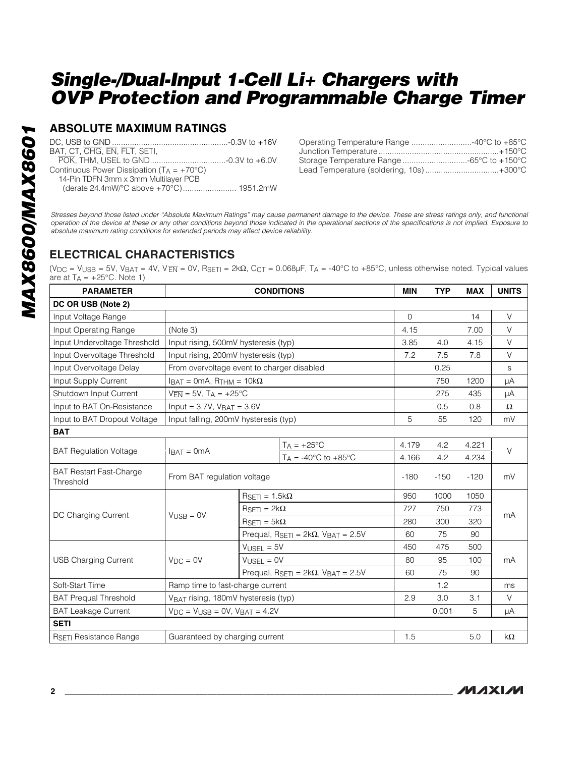## **ABSOLUTE MAXIMUM RATINGS**

| BAT, CT, CHG, EN, FLT, SETI,                          |  |
|-------------------------------------------------------|--|
|                                                       |  |
| Continuous Power Dissipation ( $T_A = +70^{\circ}C$ ) |  |
| 14-Pin TDFN 3mm x 3mm Multilayer PCB                  |  |
| (derate 24.4mW/°C above +70°C) 1951.2mW               |  |
|                                                       |  |

| Operating Temperature Range 40°C to +85°C |  |
|-------------------------------------------|--|
|                                           |  |
|                                           |  |
| Lead Temperature (soldering, 10s)+300°C   |  |

*Stresses beyond those listed under "Absolute Maximum Ratings" may cause permanent damage to the device. These are stress ratings only, and functional operation of the device at these or any other conditions beyond those indicated in the operational sections of the specifications is not implied. Exposure to absolute maximum rating conditions for extended periods may affect device reliability.*

## **ELECTRICAL CHARACTERISTICS**

(V<sub>DC</sub> = V<sub>USB</sub> = 5V, V<sub>BAT</sub> = 4V, V<sub>EN</sub> = 0V, R<sub>SETI</sub> = 2k $\Omega$ , C<sub>CT</sub> = 0.068µF, T<sub>A</sub> = -40°C to +85°C, unless otherwise noted. Typical values are at  $T_A = +25$ °C. Note 1)

| <b>PARAMETER</b>                            |                                                                  |                                       | <b>CONDITIONS</b>                                              | <b>MIN</b>   | <b>TYP</b> | <b>MAX</b> | <b>UNITS</b> |
|---------------------------------------------|------------------------------------------------------------------|---------------------------------------|----------------------------------------------------------------|--------------|------------|------------|--------------|
| DC OR USB (Note 2)                          |                                                                  |                                       |                                                                |              |            |            |              |
| Input Voltage Range                         |                                                                  |                                       |                                                                | $\mathbf{O}$ |            | 14         | $\vee$       |
| Input Operating Range                       | (Note 3)                                                         |                                       |                                                                | 4.15         |            | 7.00       | V            |
| Input Undervoltage Threshold                | Input rising, 500mV hysteresis (typ)                             |                                       | 3.85                                                           | 4.0          | 4.15       | $\vee$     |              |
| Input Overvoltage Threshold                 | Input rising, 200mV hysteresis (typ)                             |                                       |                                                                | 7.2          | 7.5        | 7.8        | $\vee$       |
| Input Overvoltage Delay                     | From overvoltage event to charger disabled                       |                                       |                                                                |              | 0.25       |            | S            |
| Input Supply Current                        | $I_{\text{BAT}} = 0 \text{mA}$ , R <sub>THM</sub> = 10k $\Omega$ |                                       |                                                                |              | 750        | 1200       | μA           |
| Shutdown Input Current                      | $V_{\overline{EN}} = 5V$ , T <sub>A</sub> = +25°C                |                                       |                                                                |              | 275        | 435        | μA           |
| Input to BAT On-Resistance                  | $Input = 3.7V$ , $V_{BAT} = 3.6V$                                |                                       |                                                                |              | 0.5        | 0.8        | $\Omega$     |
| Input to BAT Dropout Voltage                | Input falling, 200mV hysteresis (typ)                            |                                       |                                                                | 5            | 55         | 120        | mV           |
| <b>BAT</b>                                  |                                                                  |                                       |                                                                |              |            |            |              |
|                                             |                                                                  |                                       | $T_A = +25$ °C                                                 | 4.179        | 4.2        | 4.221      | $\vee$       |
| <b>BAT Regulation Voltage</b>               | $IBAT = 0mA$                                                     |                                       | $T_A = -40^{\circ}$ C to $+85^{\circ}$ C                       | 4.166        | 4.2        | 4.234      |              |
| <b>BAT Restart Fast-Charge</b><br>Threshold | From BAT regulation voltage                                      |                                       |                                                                | $-180$       | $-150$     | $-120$     | mV           |
|                                             |                                                                  | $R_{\text{SET}} = 1.5 \text{k}\Omega$ |                                                                | 950          | 1000       | 1050       |              |
|                                             |                                                                  | $RSETI = 2k\Omega$                    |                                                                | 727          | 750        | 773        |              |
| DC Charging Current                         | $V_{\text{USE}} = 0V$                                            | $RSETI = 5k\Omega$                    |                                                                | 280          | 300        | 320        | mA           |
|                                             |                                                                  |                                       | Prequal, $R_{\text{SET}} = 2k\Omega$ , $V_{\text{BAT}} = 2.5V$ | 60           | 75         | 90         |              |
|                                             |                                                                  | $VUSEL = 5V$                          | 450                                                            | 475          | 500        |            |              |
| <b>USB Charging Current</b>                 | $V_{DC} = 0V$                                                    | $V_{LISEL} = 0V$                      |                                                                | 80           | 95         | 100        | mA           |
|                                             |                                                                  |                                       | Prequal, $R_{\text{SET}} = 2k\Omega$ , $V_{\text{BAT}} = 2.5V$ | 60           | 75         | 90         |              |
| Soft-Start Time                             | Ramp time to fast-charge current                                 |                                       |                                                                | 1.2          |            | ms         |              |
| <b>BAT Prequal Threshold</b>                | VBAT rising, 180mV hysteresis (typ)                              |                                       |                                                                | 2.9          | 3.0        | 3.1        | $\vee$       |
| <b>BAT Leakage Current</b>                  | $V_{DC}$ = $V_{USB}$ = 0V, $V_{BAT}$ = 4.2V                      |                                       |                                                                |              | 0.001      | 5          | μA           |
| <b>SETI</b>                                 |                                                                  |                                       |                                                                |              |            |            |              |
| RSETI Resistance Range                      | Guaranteed by charging current                                   |                                       |                                                                | 1.5          |            | 5.0        | $k\Omega$    |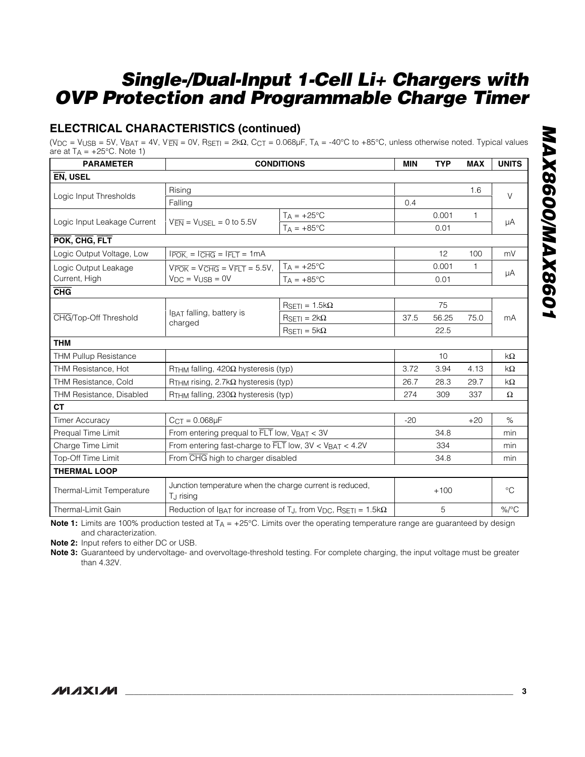# **ELECTRICAL CHARACTERISTICS (continued)**

(V<sub>DC</sub> = V<sub>USB</sub> = 5V, V<sub>BAT</sub> = 4V, V<sub>EN</sub> = 0V, R<sub>SETI</sub> = 2kΩ, C<sub>CT</sub> = 0.068μF, T<sub>A</sub> = -40°C to +85°C, unless otherwise noted. Typical values are at  $T_A = +25$ °C. Note 1)

| <b>PARAMETER</b>             |                                                                                   | <b>CONDITIONS</b>                                                           | <b>MIN</b> | <b>TYP</b> | <b>MAX</b> | <b>UNITS</b> |
|------------------------------|-----------------------------------------------------------------------------------|-----------------------------------------------------------------------------|------------|------------|------------|--------------|
| EN, USEL                     |                                                                                   |                                                                             |            |            |            |              |
|                              | Rising                                                                            |                                                                             |            |            | 1.6        | V            |
| Logic Input Thresholds       | Falling                                                                           | 0.4                                                                         |            |            |            |              |
|                              |                                                                                   | $T_A = +25^{\circ}C$                                                        |            | 0.001      | 1          |              |
| Logic Input Leakage Current  | $V_{\overline{EN}} = V_{\text{USEL}} = 0$ to 5.5V                                 | $TA = +85^{\circ}C$                                                         |            | 0.01       |            | μA           |
| POK, CHG, FLT                |                                                                                   |                                                                             |            |            |            |              |
| Logic Output Voltage, Low    | $I\overline{POK}$ , = $I\overline{CHG}$ = $I\overline{FLT}$ = 1mA                 |                                                                             |            | 12         | 100        | mV           |
| Logic Output Leakage         | $V\overline{POK} = V\overline{CHG} = V\overline{FLT} = 5.5V,$                     | $T_A = +25$ °C                                                              |            | 0.001      | 1          |              |
| Current, High                | $V_{DC} = V_{LISE} = 0V$                                                          | $T_A = +85^{\circ}C$                                                        |            | 0.01       |            | μA           |
| $\overline{\text{CHG}}$      |                                                                                   |                                                                             |            |            |            |              |
|                              |                                                                                   | $R_{\text{SET}} = 1.5 \text{k}\Omega$                                       |            | 75         |            |              |
| CHG/Top-Off Threshold        | <b>IBAT</b> falling, battery is<br>charged                                        | $R_{\text{SETI}} = 2k\Omega$                                                | 37.5       | 56.25      | 75.0       | mA           |
|                              |                                                                                   | $R_{\text{SETI}} = 5k\Omega$                                                |            | 22.5       |            |              |
| <b>THM</b>                   |                                                                                   |                                                                             |            |            |            |              |
| <b>THM Pullup Resistance</b> |                                                                                   |                                                                             |            | 10         |            | $k\Omega$    |
| THM Resistance, Hot          | $RTHM$ falling, 420 $\Omega$ hysteresis (typ)                                     |                                                                             | 3.72       | 3.94       | 4.13       | kΩ           |
| <b>THM Resistance, Cold</b>  | $RTHM$ rising, 2.7k $\Omega$ hysteresis (typ)                                     |                                                                             | 26.7       | 28.3       | 29.7       | kΩ           |
| THM Resistance, Disabled     | $R$ THM falling, 230 $\Omega$ hysteresis (typ)                                    |                                                                             | 274        | 309        | 337        | Ω            |
| <b>CT</b>                    |                                                                                   |                                                                             |            |            |            |              |
| <b>Timer Accuracy</b>        | $CCT = 0.068µF$                                                                   |                                                                             | $-20$      |            | $+20$      | $\%$         |
| Prequal Time Limit           | From entering prequal to $\overline{FLT}$ low, $V_{BAT} < 3V$                     |                                                                             |            | 34.8       |            | min          |
| Charge Time Limit            | From entering fast-charge to FLT low, 3V < VBAT < 4.2V                            |                                                                             |            | 334        |            | min          |
| <b>Top-Off Time Limit</b>    | From CHG high to charger disabled                                                 |                                                                             |            | 34.8       |            | min          |
| <b>THERMAL LOOP</b>          |                                                                                   |                                                                             |            |            |            |              |
| Thermal-Limit Temperature    | Junction temperature when the charge current is reduced,<br>T <sub>J</sub> rising |                                                                             |            | $+100$     |            | $^{\circ}C$  |
| Thermal-Limit Gain           |                                                                                   | Reduction of IBAT for increase of TJ, from $V_{DC}$ , RSETI = 1.5k $\Omega$ |            | 5          |            | $%$ /°C      |

**Note 1:** Limits are 100% production tested at T<sub>A</sub> = +25°C. Limits over the operating temperature range are guaranteed by design and characterization.

**Note 2:** Input refers to either DC or USB.

**Note 3:** Guaranteed by undervoltage- and overvoltage-threshold testing. For complete charging, the input voltage must be greater than 4.32V.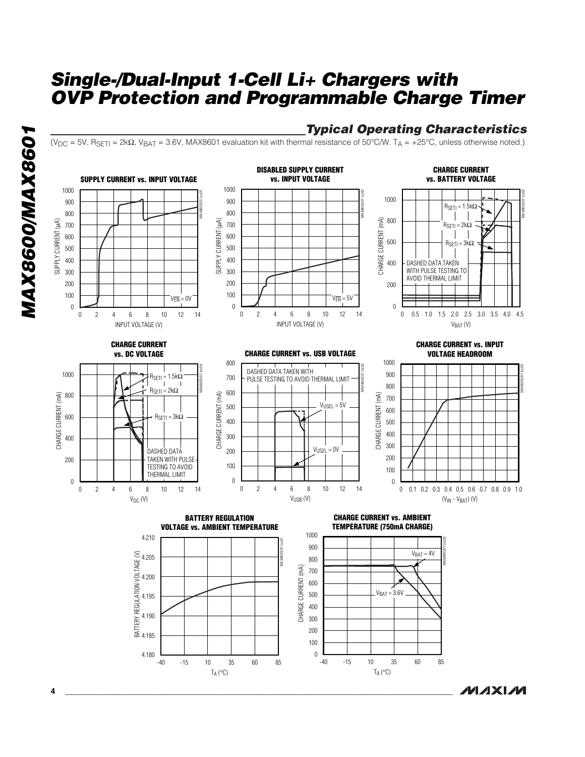## *Typical Operating Characteristics*

**MAXIM** 

(VDC = 5V, RSETI = 2kΩ, VBAT = 3.6V, MAX8601 evaluation kit with thermal resistance of 50°C/W. TA = +25°C, unless otherwise noted.)



*MAX8600/MAX8601* **MAX8600/MAX8601** 

**4 \_\_\_\_\_\_\_\_\_\_\_\_\_\_\_\_\_\_\_\_\_\_\_\_\_\_\_\_\_\_\_\_\_\_\_\_\_\_\_\_\_\_\_\_\_\_\_\_\_\_\_\_\_\_\_\_\_\_\_\_\_\_\_\_\_\_\_\_\_\_\_\_\_\_\_\_\_\_\_\_\_\_\_\_\_\_\_**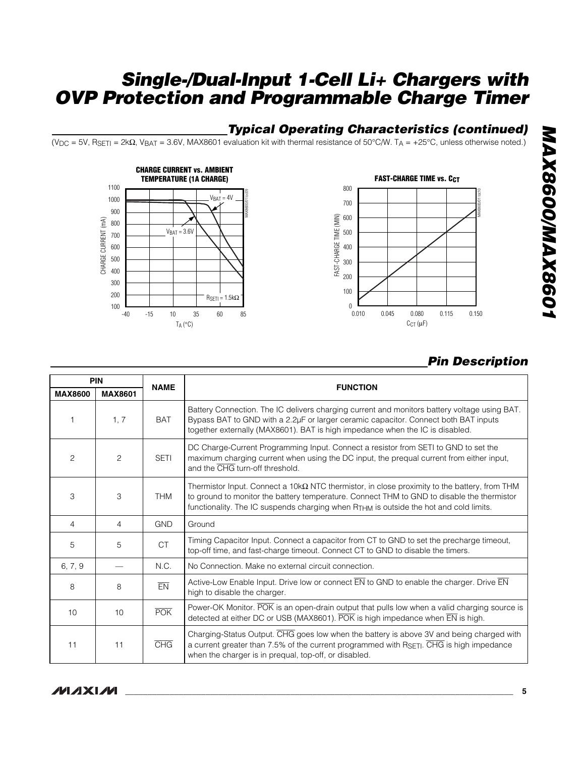## *Typical Operating Characteristics (continued)*

(VDC = 5V, RSETI = 2kΩ, VBAT = 3.6V, MAX8601 evaluation kit with thermal resistance of 50°C/W. TA = +25°C, unless otherwise noted.)





# *Pin Description*

|                | <b>PIN</b><br><b>NAME</b> |             | <b>FUNCTION</b>                                                                                                                                                                                                                                                                                         |  |  |  |  |  |
|----------------|---------------------------|-------------|---------------------------------------------------------------------------------------------------------------------------------------------------------------------------------------------------------------------------------------------------------------------------------------------------------|--|--|--|--|--|
| <b>MAX8600</b> | <b>MAX8601</b>            |             |                                                                                                                                                                                                                                                                                                         |  |  |  |  |  |
| 1              | 1.7                       | <b>BAT</b>  | Battery Connection. The IC delivers charging current and monitors battery voltage using BAT.<br>Bypass BAT to GND with a 2.2µF or larger ceramic capacitor. Connect both BAT inputs<br>together externally (MAX8601). BAT is high impedance when the IC is disabled.                                    |  |  |  |  |  |
| 2              | $\overline{c}$            | <b>SETI</b> | DC Charge-Current Programming Input. Connect a resistor from SETI to GND to set the<br>maximum charging current when using the DC input, the prequal current from either input,<br>and the CHG turn-off threshold.                                                                                      |  |  |  |  |  |
| 3              | 3                         | <b>THM</b>  | Thermistor Input. Connect a 10k $\Omega$ NTC thermistor, in close proximity to the battery, from THM<br>to ground to monitor the battery temperature. Connect THM to GND to disable the thermistor<br>functionality. The IC suspends charging when R <sub>THM</sub> is outside the hot and cold limits. |  |  |  |  |  |
| 4              | $\overline{4}$            | <b>GND</b>  | Ground                                                                                                                                                                                                                                                                                                  |  |  |  |  |  |
| 5              | 5                         | <b>CT</b>   | Timing Capacitor Input. Connect a capacitor from CT to GND to set the precharge timeout,<br>top-off time, and fast-charge timeout. Connect CT to GND to disable the timers.                                                                                                                             |  |  |  |  |  |
| 6, 7, 9        |                           | N.C.        | No Connection. Make no external circuit connection.                                                                                                                                                                                                                                                     |  |  |  |  |  |
| 8              | 8                         | EN          | Active-Low Enable Input. Drive low or connect EN to GND to enable the charger. Drive EN<br>high to disable the charger.                                                                                                                                                                                 |  |  |  |  |  |
| 10             | 10                        | <b>POK</b>  | Power-OK Monitor. POK is an open-drain output that pulls low when a valid charging source is<br>detected at either DC or USB (MAX8601). POK is high impedance when EN is high.                                                                                                                          |  |  |  |  |  |
| 11             | 11                        | <b>CHG</b>  | Charging-Status Output. CHG goes low when the battery is above 3V and being charged with<br>a current greater than 7.5% of the current programmed with RSETI. CHG is high impedance<br>when the charger is in prequal, top-off, or disabled.                                                            |  |  |  |  |  |

# **MAXM**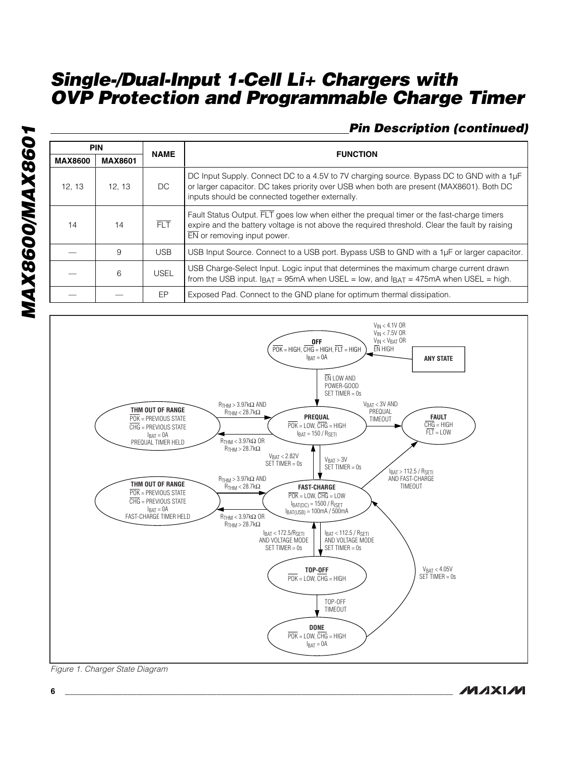# *Pin Description (continued)*

|                | <b>PIN</b><br><b>NAME</b> |             | <b>FUNCTION</b>                                                                                                                                                                                                                         |
|----------------|---------------------------|-------------|-----------------------------------------------------------------------------------------------------------------------------------------------------------------------------------------------------------------------------------------|
| <b>MAX8600</b> | <b>MAX8601</b>            |             |                                                                                                                                                                                                                                         |
| 12, 13         | 12, 13                    | DC.         | DC Input Supply. Connect DC to a 4.5V to 7V charging source. Bypass DC to GND with a 1µF<br>or larger capacitor. DC takes priority over USB when both are present (MAX8601). Both DC<br>inputs should be connected together externally. |
| 14             | 14                        | FIT.        | Fault Status Output. FLT goes low when either the prequal timer or the fast-charge timers<br>expire and the battery voltage is not above the required threshold. Clear the fault by raising<br>$\overline{EN}$ or removing input power. |
|                | 9                         | USB.        | USB Input Source. Connect to a USB port. Bypass USB to GND with a 1µF or larger capacitor.                                                                                                                                              |
|                | 6                         | <b>USEL</b> | USB Charge-Select Input. Logic input that determines the maximum charge current drawn<br>from the USB input. $I_{BAT} = 95$ mA when USEL = low, and $I_{BAT} = 475$ mA when USEL = high.                                                |
|                |                           | EP          | Exposed Pad. Connect to the GND plane for optimum thermal dissipation.                                                                                                                                                                  |



*Figure 1. Charger State Diagram*

**MAXM**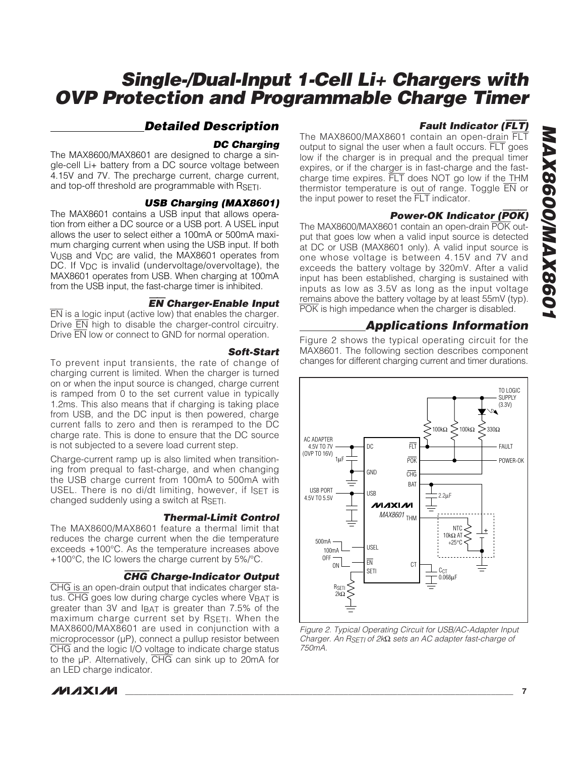## *Detailed Description*

#### *DC Charging*

The MAX8600/MAX8601 are designed to charge a single-cell Li+ battery from a DC source voltage between 4.15V and 7V. The precharge current, charge current, and top-off threshold are programmable with RSETI.

#### *USB Charging (MAX8601)*

The MAX8601 contains a USB input that allows operation from either a DC source or a USB port. A USEL input allows the user to select either a 100mA or 500mA maximum charging current when using the USB input. If both VUSB and VDC are valid, the MAX8601 operates from DC. If V<sub>DC</sub> is invalid (undervoltage/overvoltage), the MAX8601 operates from USB. When charging at 100mA from the USB input, the fast-charge timer is inhibited.

#### EN *Charger-Enable Input*

 $\overline{EN}$  is a logic input (active low) that enables the charger. Drive EN high to disable the charger-control circuitry. Drive EN low or connect to GND for normal operation.

#### *Soft-Start*

To prevent input transients, the rate of change of charging current is limited. When the charger is turned on or when the input source is changed, charge current is ramped from 0 to the set current value in typically 1.2ms. This also means that if charging is taking place from USB, and the DC input is then powered, charge current falls to zero and then is reramped to the DC charge rate. This is done to ensure that the DC source is not subjected to a severe load current step.

Charge-current ramp up is also limited when transitioning from prequal to fast-charge, and when changing the USB charge current from 100mA to 500mA with USEL. There is no di/dt limiting, however, if ISET is changed suddenly using a switch at RSETI.

#### *Thermal-Limit Control*

The MAX8600/MAX8601 feature a thermal limit that reduces the charge current when the die temperature exceeds +100°C. As the temperature increases above +100°C, the IC lowers the charge current by 5%/°C.

#### CHG *Charge-Indicator Output*

CHG is an open-drain output that indicates charger status.  $\overline{\text{CHG}}$  goes low during charge cycles where  $V_{\text{BAT}}$  is greater than 3V and IBAT is greater than 7.5% of the maximum charge current set by RSETI. When the MAX8600/MAX8601 are used in conjunction with a microprocessor (µP), connect a pullup resistor between CHG and the logic I/O voltage to indicate charge status to the µP. Alternatively, CHG can sink up to 20mA for an LED charge indicator.

#### *Fault Indicator (*FLT*)*

The MAX8600/MAX8601 contain an open-drain FLT output to signal the user when a fault occurs. FLT goes low if the charger is in prequal and the prequal timer expires, or if the charger is in fast-charge and the fastcharge time expires. FLT does NOT go low if the THM thermistor temperature is out of range. Toggle EN or the input power to reset the FLT indicator.

#### *Power-OK Indicator (*POK*)*

The MAX8600/MAX8601 contain an open-drain POK output that goes low when a valid input source is detected at DC or USB (MAX8601 only). A valid input source is one whose voltage is between 4.15V and 7V and exceeds the battery voltage by 320mV. After a valid input has been established, charging is sustained with inputs as low as 3.5V as long as the input voltage remains above the battery voltage by at least 55mV (typ). POK is high impedance when the charger is disabled.

## *Applications Information*

Figure 2 shows the typical operating circuit for the MAX8601. The following section describes component changes for different charging current and timer durations.



*Figure 2. Typical Operating Circuit for USB/AC-Adapter Input Charger. An RSETI of 2k*Ω *sets an AC adapter fast-charge of 750mA.*

**MAXM**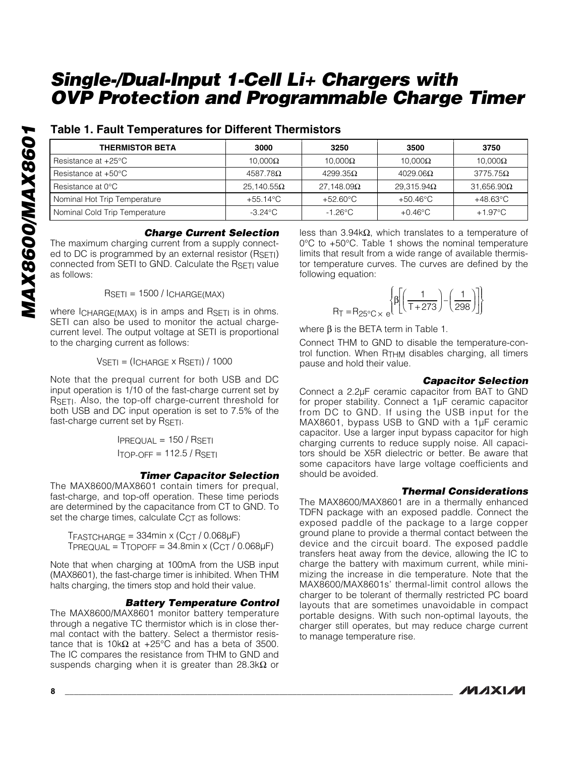## **Table 1. Fault Temperatures for Different Thermistors**

| <b>THERMISTOR BETA</b>        | 3000               | 3250               | 3500               | 3750               |
|-------------------------------|--------------------|--------------------|--------------------|--------------------|
| Resistance at $+25^{\circ}$ C | $10.000\Omega$     | 10.000 $\Omega$    | $10.000\Omega$     | $10,000\Omega$     |
| Resistance at $+50^{\circ}$ C | $4587.78\Omega$    | $4299.35\Omega$    | $4029.06\Omega$    | $3775.75\Omega$    |
| Resistance at $0^{\circ}$ C   | $25.140.55\Omega$  | $27.148.09\Omega$  | $29.315.94\Omega$  | $31.656.90\Omega$  |
| Nominal Hot Trip Temperature  | $+55.14^{\circ}$ C | $+52.60^{\circ}$ C | $+50.46^{\circ}$ C | $+48.63^{\circ}$ C |
| Nominal Cold Trip Temperature | $-3.24\degree$ C   | $-1.26^{\circ}$ C  | $+0.46^{\circ}$ C  | $+1.97^{\circ}$ C  |

#### *Charge Current Selection*

The maximum charging current from a supply connected to DC is programmed by an external resistor (RSETI) connected from SETI to GND. Calculate the RSETI value as follows:

 $RSETI = 1500 / ICHARGE(MAX)$ 

where  $I_{CHARGE(MAX)}$  is in amps and  $R_{SETI}$  is in ohms. SETI can also be used to monitor the actual chargecurrent level. The output voltage at SETI is proportional to the charging current as follows:

 $VSETI = (ICHARGE \times RSETI) / 1000$ 

Note that the prequal current for both USB and DC input operation is 1/10 of the fast-charge current set by RSETI. Also, the top-off charge-current threshold for both USB and DC input operation is set to 7.5% of the fast-charge current set by RSETI.

> $IPREQUAL = 150 / RSETI$  $ITOP-OFF = 112.5 / RSETI$

#### *Timer Capacitor Selection*

The MAX8600/MAX8601 contain timers for prequal, fast-charge, and top-off operation. These time periods are determined by the capacitance from CT to GND. To set the charge times, calculate C<sub>CT</sub> as follows:

 $TFASTCHARGE = 334min \times (CCT / 0.068\mu F)$  $TPREQUAL = TTOPOFF = 34.8min \times (CCT / 0.068\mu F)$ 

Note that when charging at 100mA from the USB input (MAX8601), the fast-charge timer is inhibited. When THM halts charging, the timers stop and hold their value.

#### *Battery Temperature Control*

The MAX8600/MAX8601 monitor battery temperature through a negative TC thermistor which is in close thermal contact with the battery. Select a thermistor resistance that is 10kΩ at +25°C and has a beta of 3500. The IC compares the resistance from THM to GND and suspends charging when it is greater than 28.3k $\Omega$  or

less than 3.94kΩ, which translates to a temperature of 0°C to +50°C. Table 1 shows the nominal temperature limits that result from a wide range of available thermistor temperature curves. The curves are defined by the following equation:

$$
R_{\text{T}} = R_{25^{\circ}\text{C}} \times e^{\left\{\beta \left[ \left( \frac{1}{\text{T} + 273} \right) - \left( \frac{1}{298} \right) \right] \right\}}
$$

where  $β$  is the BETA term in Table 1.

Connect THM to GND to disable the temperature-control function. When  $R_{THM}$  disables charging, all timers pause and hold their value.

#### *Capacitor Selection*

Connect a 2.2µF ceramic capacitor from BAT to GND for proper stability. Connect a 1µF ceramic capacitor from DC to GND. If using the USB input for the MAX8601, bypass USB to GND with a 1µF ceramic capacitor. Use a larger input bypass capacitor for high charging currents to reduce supply noise. All capacitors should be X5R dielectric or better. Be aware that some capacitors have large voltage coefficients and should be avoided.

#### *Thermal Considerations*

The MAX8600/MAX8601 are in a thermally enhanced TDFN package with an exposed paddle. Connect the exposed paddle of the package to a large copper ground plane to provide a thermal contact between the device and the circuit board. The exposed paddle transfers heat away from the device, allowing the IC to charge the battery with maximum current, while minimizing the increase in die temperature. Note that the MAX8600/MAX8601s' thermal-limit control allows the charger to be tolerant of thermally restricted PC board layouts that are sometimes unavoidable in compact portable designs. With such non-optimal layouts, the charger still operates, but may reduce charge current to manage temperature rise.

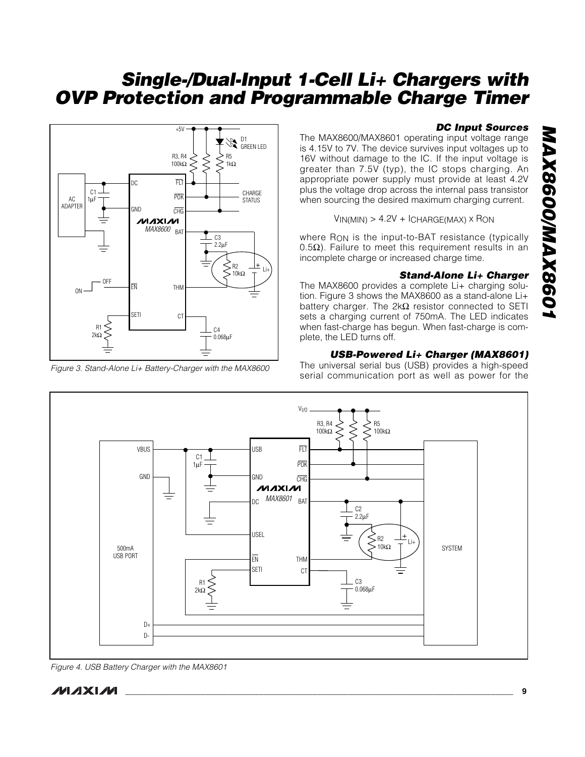

*Figure 3. Stand-Alone Li+ Battery-Charger with the MAX8600*

#### *DC Input Sources*

The MAX8600/MAX8601 operating input voltage range is 4.15V to 7V. The device survives input voltages up to 16V without damage to the IC. If the input voltage is greater than 7.5V (typ), the IC stops charging. An appropriate power supply must provide at least 4.2V plus the voltage drop across the internal pass transistor when sourcing the desired maximum charging current.

 $VIN(MIN) > 4.2V + ICHARGE(MAX) \times RON$ 

where R<sub>ON</sub> is the input-to-BAT resistance (typically 0.5 $Ω$ ). Failure to meet this requirement results in an incomplete charge or increased charge time.

#### *Stand-Alone Li+ Charger*

The MAX8600 provides a complete Li+ charging solution. Figure 3 shows the MAX8600 as a stand-alone Li+ battery charger. The  $2k\Omega$  resistor connected to SETI sets a charging current of 750mA. The LED indicates when fast-charge has begun. When fast-charge is complete, the LED turns off.

#### *USB-Powered Li+ Charger (MAX8601)*

The universal serial bus (USB) provides a high-speed serial communication port as well as power for the



*Figure 4. USB Battery Charger with the MAX8601*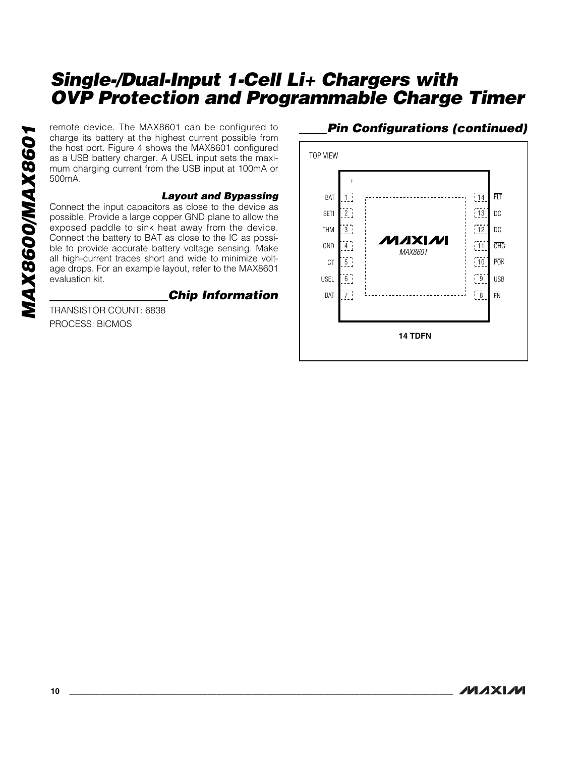charge its battery at the highest current possible from the host port. Figure 4 shows the MAX8601 configured as a USB battery charger. A USEL input sets the maximum charging current from the USB input at 100mA or 500mA.

#### *Layout and Bypassing*

remote device. The MAX8601 can be configured to<br>charge its battery at the highest current possible from<br>as a USB battery charger. A USEL input sets the maxi-<br>mum charging current from the USB input at 100mA or<br>500mA.<br>**Layo** Connect the input capacitors as close to the device as possible. Provide a large copper GND plane to allow the exposed paddle to sink heat away from the device. Connect the battery to BAT as close to the IC as possible to provide accurate battery voltage sensing. Make all high-current traces short and wide to minimize voltage drops. For an example layout, refer to the MAX8601 evaluation kit.

## *Chip Information*

TRANSISTOR COUNT: 6838 PROCESS: BiCMOS

# *Pin Configurations (continued)*

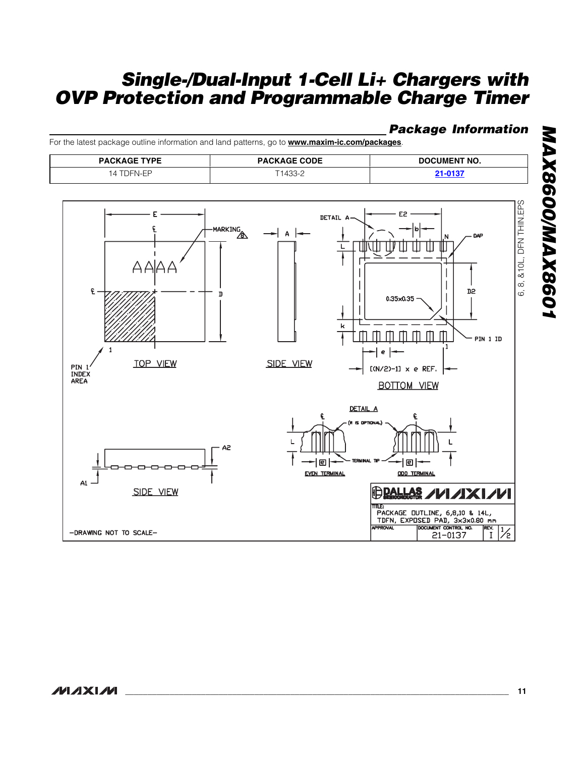## *Package Information*

For the latest package outline information and land patterns, go to **www.maxim-ic.com/packages**.

| <b>PACKAGE TYPE</b> | <b>PACKAGE CODE</b> | <b>DOCUMENT NO.</b> |
|---------------------|---------------------|---------------------|
| )⊢<br>៶៲⊥⊢          | ے-1433 -            |                     |



# MAX8600/MAX8601 *MAX8600/MAX8601*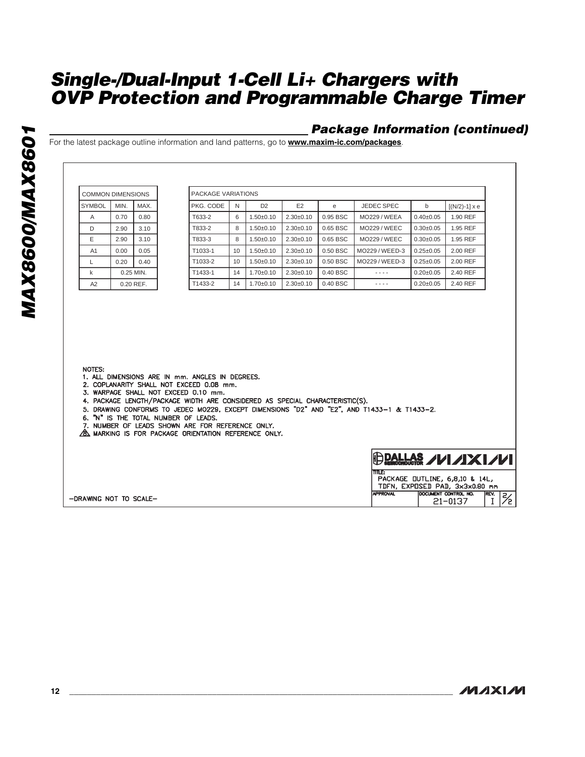## *Package Information (continued)*

For the latest package outline information and land patterns, go to **www.maxim-ic.com/packages**.

| <b>COMMON DIMENSIONS</b> |      |           | PACKAGE VARIATIONS                                                                                                                                                                                                                                                                                                                                                              |                 |                 |                 |          |                                                                                             |                 |                      |
|--------------------------|------|-----------|---------------------------------------------------------------------------------------------------------------------------------------------------------------------------------------------------------------------------------------------------------------------------------------------------------------------------------------------------------------------------------|-----------------|-----------------|-----------------|----------|---------------------------------------------------------------------------------------------|-----------------|----------------------|
| <b>SYMBOL</b>            | MIN. | MAX.      | PKG. CODE                                                                                                                                                                                                                                                                                                                                                                       | N               | D <sub>2</sub>  | E2              | e        | JEDEC SPEC                                                                                  | b               | $[(N/2)-1] \times e$ |
| A                        | 0.70 | 0.80      | T633-2                                                                                                                                                                                                                                                                                                                                                                          | 6               | $1.50 + 0.10$   | $2.30 \pm 0.10$ | 0.95 BSC | <b>MO229 / WEEA</b>                                                                         | $0.40 + 0.05$   | 1.90 REF             |
| D                        | 2.90 | 3.10      | T833-2                                                                                                                                                                                                                                                                                                                                                                          | 8               | $1.50 + 0.10$   | $2.30+0.10$     | 0.65 BSC | <b>MO229 / WEEC</b>                                                                         | $0.30+0.05$     | 1.95 REF             |
| E                        | 2.90 | 3.10      | T833-3                                                                                                                                                                                                                                                                                                                                                                          | 8               | $1.50+0.10$     | $2.30+0.10$     | 0.65 BSC | <b>MO229 / WEEC</b>                                                                         | $0.30 + 0.05$   | 1.95 REF             |
| A <sub>1</sub>           | 0.00 | 0.05      | T1033-1                                                                                                                                                                                                                                                                                                                                                                         | 10 <sup>1</sup> | $1.50 + 0.10$   | $2.30 \pm 0.10$ | 0.50 BSC | MO229 / WEED-3                                                                              | $0.25 \pm 0.05$ | 2.00 REF             |
| L                        | 0.20 | 0.40      | T1033-2                                                                                                                                                                                                                                                                                                                                                                         | 10 <sup>1</sup> | $1.50 + 0.10$   | $2.30+0.10$     | 0.50 BSC | MO229/WEED-3                                                                                | $0.25 + 0.05$   | 2.00 REF             |
| k                        |      | 0.25 MIN. | T1433-1                                                                                                                                                                                                                                                                                                                                                                         | 14              | $1.70 + 0.10$   | $2.30 \pm 0.10$ | 0.40 BSC | $- - - -$                                                                                   | $0.20 \pm 0.05$ | 2.40 REF             |
| A <sub>2</sub>           |      | 0.20 REF. | T1433-2                                                                                                                                                                                                                                                                                                                                                                         | 14              | $1.70 \pm 0.10$ | $2.30 \pm 0.10$ | 0.40 BSC | $- - - -$                                                                                   | $0.20 \pm 0.05$ | 2.40 REF             |
| NOTES:                   |      |           |                                                                                                                                                                                                                                                                                                                                                                                 |                 |                 |                 |          |                                                                                             |                 |                      |
|                          |      |           | 1. ALL DIMENSIONS ARE IN mm. ANGLES IN DEGREES.<br>2. COPLANARITY SHALL NOT EXCEED 0.08 mm.<br>3. WARPAGE SHALL NOT EXCEED 0.10 mm.<br>4. PACKAGE LENGTH/PACKAGE WIDTH ARE CONSIDERED AS SPECIAL CHARACTERISTIC(S).<br>6. "N" IS THE TOTAL NUMBER OF LEADS.<br>7. NUMBER OF LEADS SHOWN ARE FOR REFERENCE ONLY.<br><b>8. MARKING IS FOR PACKAGE ORIENTATION REFERENCE ONLY.</b> |                 |                 |                 |          | 5. DRAWING CONFORMS TO JEDEC MOZZ9. EXCEPT DIMENSIONS "D2" AND "E2". AND T1433-1 & T1433-2. |                 |                      |

**MAXIM**